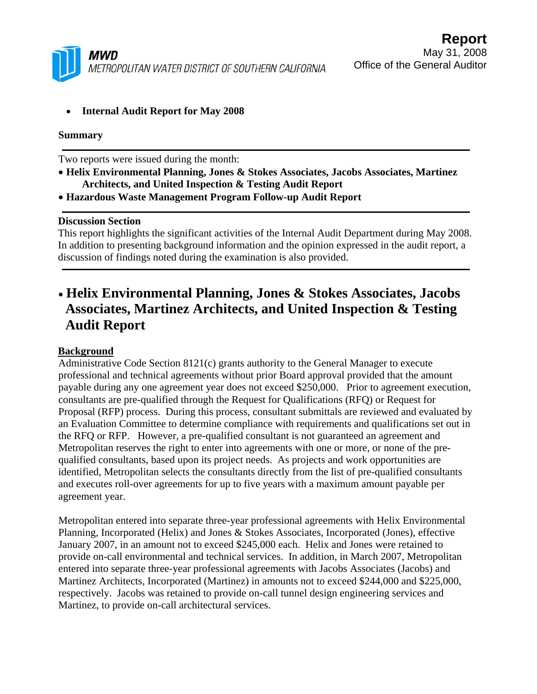

• **Internal Audit Report for May 2008** 

#### **Summary**

Two reports were issued during the month:

- **Helix Environmental Planning, Jones & Stokes Associates, Jacobs Associates, Martinez Architects, and United Inspection & Testing Audit Report**
- **Hazardous Waste Management Program Follow-up Audit Report**

#### **Discussion Section**

This report highlights the significant activities of the Internal Audit Department during May 2008. In addition to presenting background information and the opinion expressed in the audit report, a discussion of findings noted during the examination is also provided.

# • **Helix Environmental Planning, Jones & Stokes Associates, Jacobs Associates, Martinez Architects, and United Inspection & Testing Audit Report**

### **Background**

Administrative Code Section 8121(c) grants authority to the General Manager to execute professional and technical agreements without prior Board approval provided that the amount payable during any one agreement year does not exceed \$250,000. Prior to agreement execution, consultants are pre-qualified through the Request for Qualifications (RFQ) or Request for Proposal (RFP) process. During this process, consultant submittals are reviewed and evaluated by an Evaluation Committee to determine compliance with requirements and qualifications set out in the RFQ or RFP. However, a pre-qualified consultant is not guaranteed an agreement and Metropolitan reserves the right to enter into agreements with one or more, or none of the prequalified consultants, based upon its project needs. As projects and work opportunities are identified, Metropolitan selects the consultants directly from the list of pre-qualified consultants and executes roll-over agreements for up to five years with a maximum amount payable per agreement year.

Metropolitan entered into separate three-year professional agreements with Helix Environmental Planning, Incorporated (Helix) and Jones & Stokes Associates, Incorporated (Jones), effective January 2007, in an amount not to exceed \$245,000 each. Helix and Jones were retained to provide on-call environmental and technical services. In addition, in March 2007, Metropolitan entered into separate three-year professional agreements with Jacobs Associates (Jacobs) and Martinez Architects, Incorporated (Martinez) in amounts not to exceed \$244,000 and \$225,000, respectively. Jacobs was retained to provide on-call tunnel design engineering services and Martinez, to provide on-call architectural services.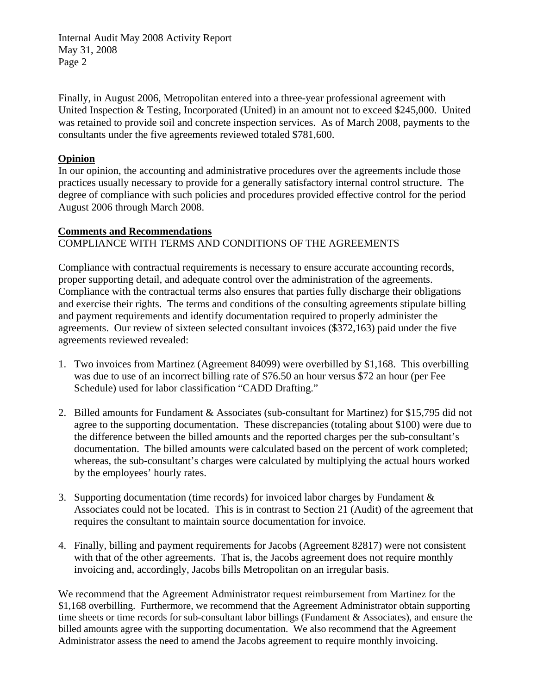Internal Audit May 2008 Activity Report May 31, 2008 Page 2

Finally, in August 2006, Metropolitan entered into a three-year professional agreement with United Inspection & Testing, Incorporated (United) in an amount not to exceed \$245,000. United was retained to provide soil and concrete inspection services. As of March 2008, payments to the consultants under the five agreements reviewed totaled \$781,600.

### **Opinion**

In our opinion, the accounting and administrative procedures over the agreements include those practices usually necessary to provide for a generally satisfactory internal control structure. The degree of compliance with such policies and procedures provided effective control for the period August 2006 through March 2008.

### **Comments and Recommendations**

## COMPLIANCE WITH TERMS AND CONDITIONS OF THE AGREEMENTS

Compliance with contractual requirements is necessary to ensure accurate accounting records, proper supporting detail, and adequate control over the administration of the agreements. Compliance with the contractual terms also ensures that parties fully discharge their obligations and exercise their rights. The terms and conditions of the consulting agreements stipulate billing and payment requirements and identify documentation required to properly administer the agreements. Our review of sixteen selected consultant invoices (\$372,163) paid under the five agreements reviewed revealed:

- 1. Two invoices from Martinez (Agreement 84099) were overbilled by \$1,168. This overbilling was due to use of an incorrect billing rate of \$76.50 an hour versus \$72 an hour (per Fee Schedule) used for labor classification "CADD Drafting."
- 2. Billed amounts for Fundament & Associates (sub-consultant for Martinez) for \$15,795 did not agree to the supporting documentation. These discrepancies (totaling about \$100) were due to the difference between the billed amounts and the reported charges per the sub-consultant's documentation. The billed amounts were calculated based on the percent of work completed; whereas, the sub-consultant's charges were calculated by multiplying the actual hours worked by the employees' hourly rates.
- 3. Supporting documentation (time records) for invoiced labor charges by Fundament & Associates could not be located. This is in contrast to Section 21 (Audit) of the agreement that requires the consultant to maintain source documentation for invoice.
- 4. Finally, billing and payment requirements for Jacobs (Agreement 82817) were not consistent with that of the other agreements. That is, the Jacobs agreement does not require monthly invoicing and, accordingly, Jacobs bills Metropolitan on an irregular basis.

We recommend that the Agreement Administrator request reimbursement from Martinez for the \$1,168 overbilling. Furthermore, we recommend that the Agreement Administrator obtain supporting time sheets or time records for sub-consultant labor billings (Fundament & Associates), and ensure the billed amounts agree with the supporting documentation. We also recommend that the Agreement Administrator assess the need to amend the Jacobs agreement to require monthly invoicing.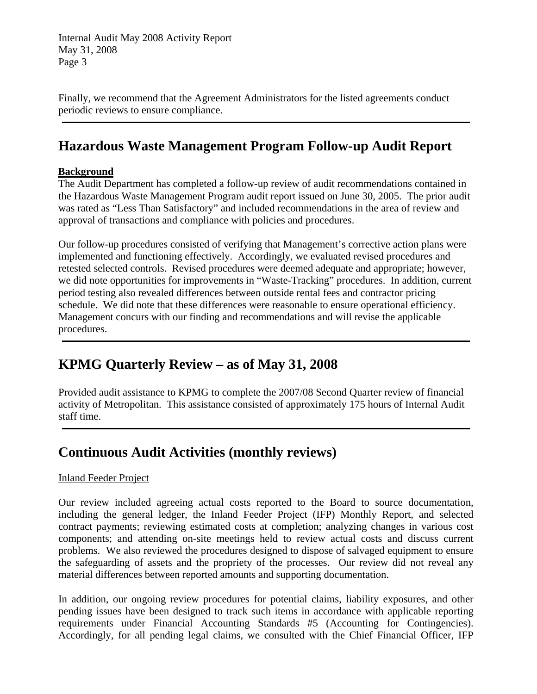Internal Audit May 2008 Activity Report May 31, 2008 Page 3

Finally, we recommend that the Agreement Administrators for the listed agreements conduct periodic reviews to ensure compliance.

# **Hazardous Waste Management Program Follow-up Audit Report**

### **Background**

The Audit Department has completed a follow-up review of audit recommendations contained in the Hazardous Waste Management Program audit report issued on June 30, 2005. The prior audit was rated as "Less Than Satisfactory" and included recommendations in the area of review and approval of transactions and compliance with policies and procedures.

Our follow-up procedures consisted of verifying that Management's corrective action plans were implemented and functioning effectively. Accordingly, we evaluated revised procedures and retested selected controls. Revised procedures were deemed adequate and appropriate; however, we did note opportunities for improvements in "Waste-Tracking" procedures. In addition, current period testing also revealed differences between outside rental fees and contractor pricing schedule. We did note that these differences were reasonable to ensure operational efficiency. Management concurs with our finding and recommendations and will revise the applicable procedures.

# **KPMG Quarterly Review – as of May 31, 2008**

Provided audit assistance to KPMG to complete the 2007/08 Second Quarter review of financial activity of Metropolitan. This assistance consisted of approximately 175 hours of Internal Audit staff time.

# **Continuous Audit Activities (monthly reviews)**

### Inland Feeder Project

Our review included agreeing actual costs reported to the Board to source documentation, including the general ledger, the Inland Feeder Project (IFP) Monthly Report, and selected contract payments; reviewing estimated costs at completion; analyzing changes in various cost components; and attending on-site meetings held to review actual costs and discuss current problems. We also reviewed the procedures designed to dispose of salvaged equipment to ensure the safeguarding of assets and the propriety of the processes. Our review did not reveal any material differences between reported amounts and supporting documentation.

In addition, our ongoing review procedures for potential claims, liability exposures, and other pending issues have been designed to track such items in accordance with applicable reporting requirements under Financial Accounting Standards #5 (Accounting for Contingencies). Accordingly, for all pending legal claims, we consulted with the Chief Financial Officer, IFP